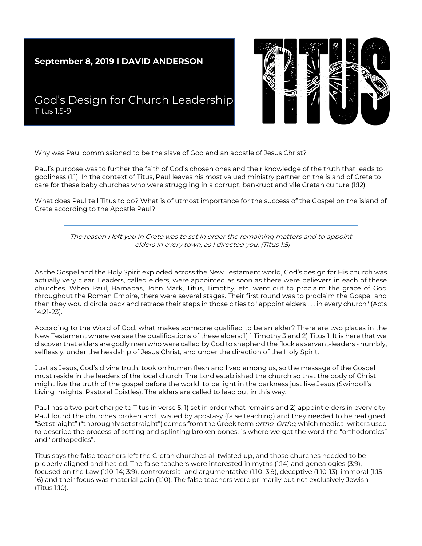## **September 8, 2019 I DAVID ANDERSON**



## God's Design for Church Leadership Titus 1:5-9

Why was Paul commissioned to be the slave of God and an apostle of Jesus Christ?

Paul's purpose was to further the faith of God's chosen ones and their knowledge of the truth that leads to godliness (1:1). In the context of Titus, Paul leaves his most valued ministry partner on the island of Crete to care for these baby churches who were struggling in a corrupt, bankrupt and vile Cretan culture (1:12).

What does Paul tell Titus to do? What is of utmost importance for the success of the Gospel on the island of Crete according to the Apostle Paul?

> The reason I left you in Crete was to set in order the remaining matters and to appoint elders in every town, as I directed you. (Titus 1:5)

As the Gospel and the Holy Spirit exploded across the New Testament world, God's design for His church was actually very clear. Leaders, called elders, were appointed as soon as there were believers in each of these churches. When Paul, Barnabas, John Mark, Titus, Timothy, etc. went out to proclaim the grace of God throughout the Roman Empire, there were several stages. Their first round was to proclaim the Gospel and then they would circle back and retrace their steps in those cities to "appoint elders . . . in every church" (Acts 14:21-23).

According to the Word of God, what makes someone qualified to be an elder? There are two places in the New Testament where we see the qualifications of these elders: 1) 1 Timothy 3 and 2) Titus 1. It is here that we discover that elders are godly men who were called by God to shepherd the flock as servant-leaders - humbly, selflessly, under the headship of Jesus Christ, and under the direction of the Holy Spirit.

Just as Jesus, God's divine truth, took on human flesh and lived among us, so the message of the Gospel must reside in the leaders of the local church. The Lord established the church so that the body of Christ might live the truth of the gospel before the world, to be light in the darkness just like Jesus (Swindoll's Living Insights, Pastoral Epistles). The elders are called to lead out in this way.

Paul has a two-part charge to Titus in verse 5: 1) set in order what remains and 2) appoint elders in every city. Paul found the churches broken and twisted by apostasy (false teaching) and they needed to be realigned. "Set straight" ("thoroughly set straight") comes from the Greek term *ortho. Ortho*, which medical writers used to describe the process of setting and splinting broken bones, is where we get the word the "orthodontics" and "orthopedics".

Titus says the false teachers left the Cretan churches all twisted up, and those churches needed to be properly aligned and healed. The false teachers were interested in myths (1:14) and genealogies (3:9), focused on the Law (1:10, 14; 3:9), controversial and argumentative (1:10; 3:9), deceptive (1:10-13), immoral (1:15- 16) and their focus was material gain (1:10). The false teachers were primarily but not exclusively Jewish (Titus 1:10).